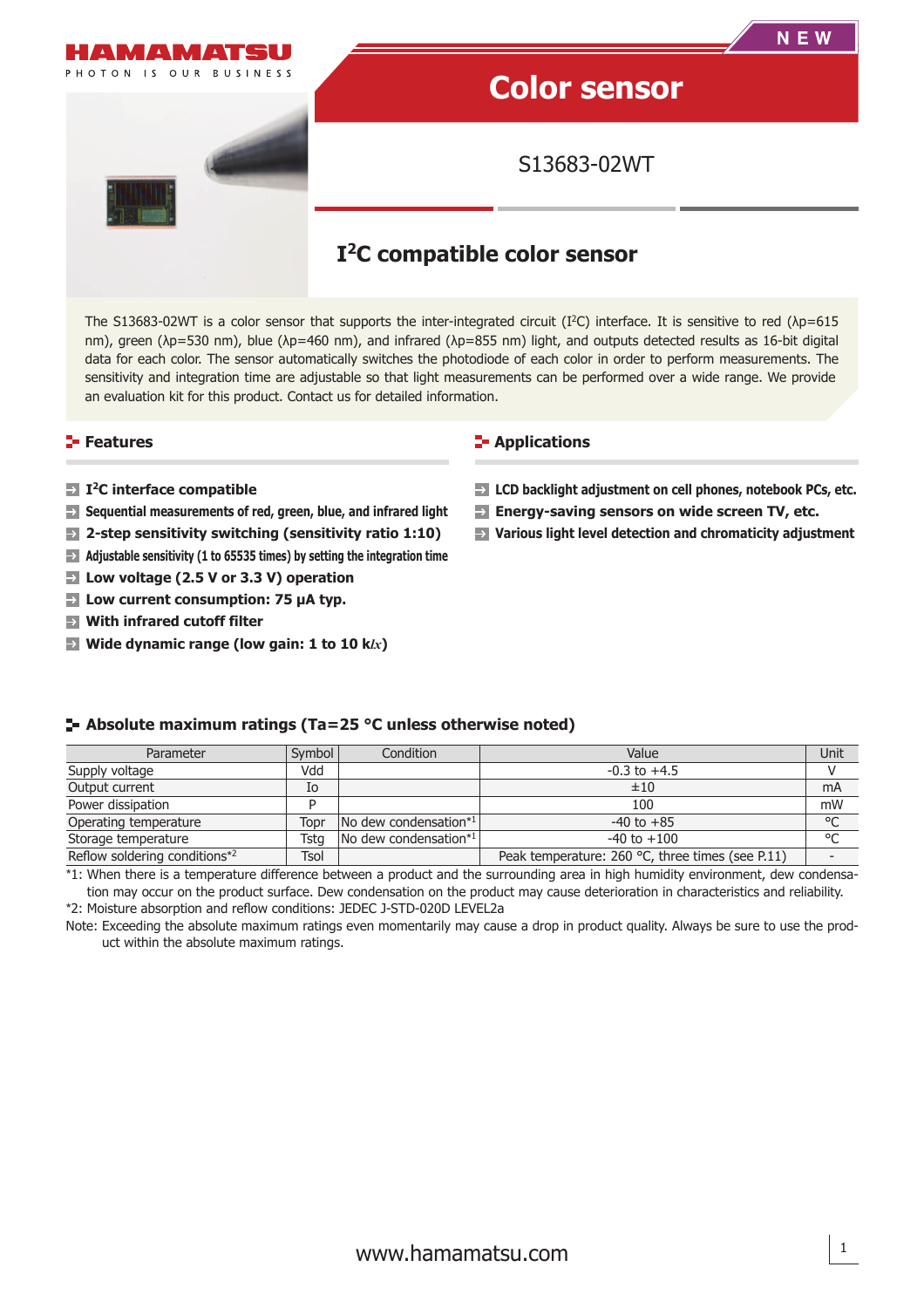

The S13683-02WT is a color sensor that supports the inter-integrated circuit (I<sup>2</sup>C) interface. It is sensitive to red ( $\lambda$ p=615 nm), green (λp=530 nm), blue (λp=460 nm), and infrared (λp=855 nm) light, and outputs detected results as 16-bit digital data for each color. The sensor automatically switches the photodiode of each color in order to perform measurements. The sensitivity and integration time are adjustable so that light measurements can be performed over a wide range. We provide an evaluation kit for this product. Contact us for detailed information.

## **Features**

- **I2C interface compatible**
- **Sequential measurements of red, green, blue, and infrared light**
- $\rightarrow$ **2-step sensitivity switching (sensitivity ratio 1:10)**
- $\rightarrow$ **Adjustable sensitivity (1 to 65535 times) by setting the integration time**
- **Low voltage (2.5 V or 3.3 V) operation**  $\rightarrow$
- **Low current consumption: 75 μA typ.**
- **With infrared cutoff filter**
- **Wide dynamic range (low gain: 1 to 10 k***lx***)**

### **E-** Applications

- **LCD backlight adjustment on cell phones, notebook PCs, etc.**
- **Energy-saving sensors on wide screen TV, etc.**
- **Various light level detection and chromaticity adjustment**

## **Absolute maximum ratings (Ta=25 °C unless otherwise noted)**

| Parameter                     | Symbol | Condition                                 | Value                                            | Unit    |
|-------------------------------|--------|-------------------------------------------|--------------------------------------------------|---------|
| Supply voltage                | Vdd    |                                           | $-0.3$ to $+4.5$                                 |         |
| Output current                | Io     |                                           | ±10                                              | mA      |
| Power dissipation             | D      |                                           | 100                                              | mW      |
| Operating temperature         | Topr   | $\sqrt{N}$ dew condensation*1             | $-40$ to $+85$                                   | $\circ$ |
| Storage temperature           | Tsta   | $\sqrt{N}$ dew condensation <sup>*1</sup> | $-40$ to $+100$                                  | $\circ$ |
| Reflow soldering conditions*2 | Tsol   |                                           | Peak temperature: 260 °C, three times (see P.11) |         |

\*1: When there is a temperature difference between a product and the surrounding area in high humidity environment, dew condensation may occur on the product surface. Dew condensation on the product may cause deterioration in characteristics and reliability. \*2: Moisture absorption and reflow conditions: JEDEC J-STD-020D LEVEL2a

Note: Exceeding the absolute maximum ratings even momentarily may cause a drop in product quality. Always be sure to use the product within the absolute maximum ratings.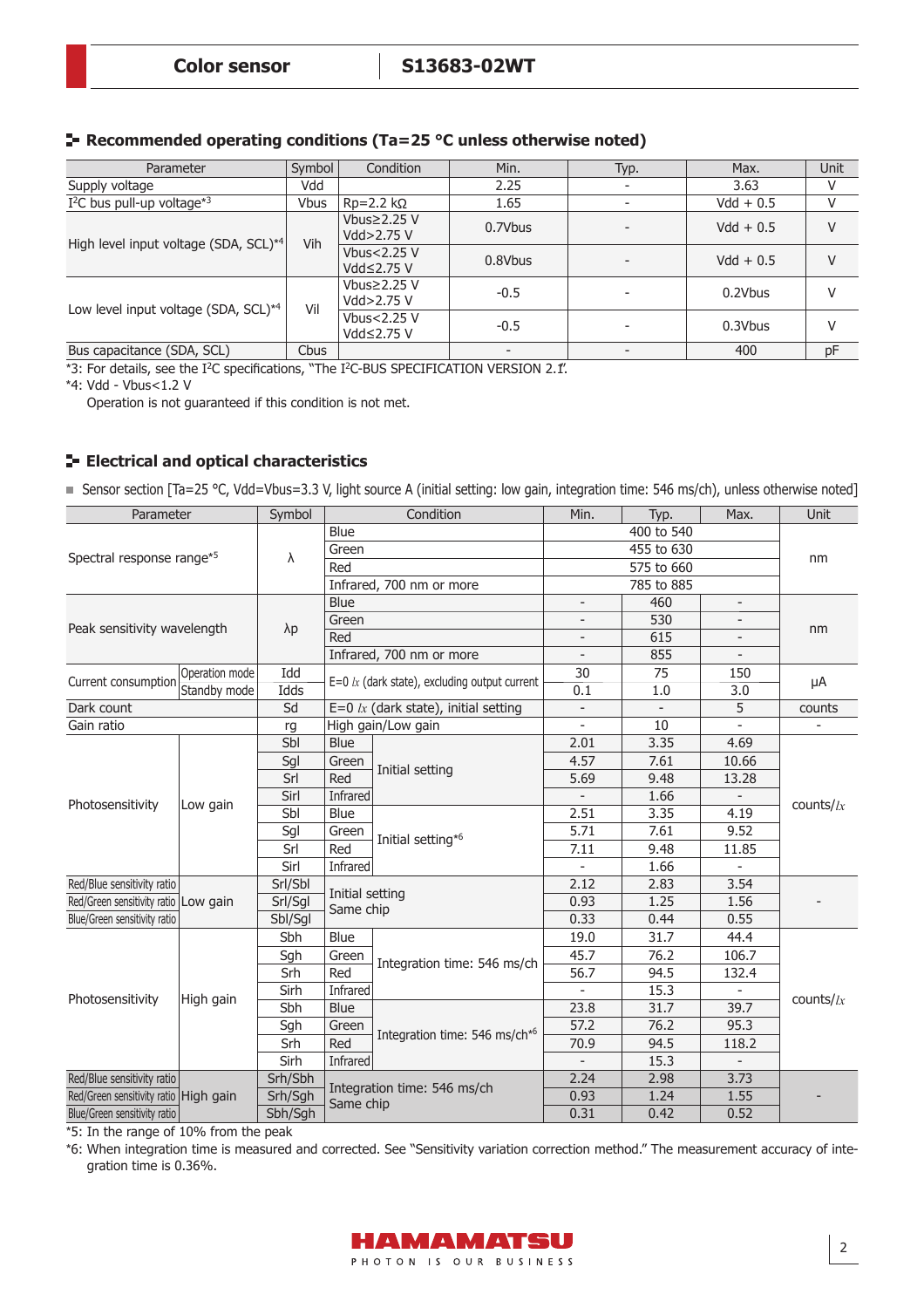## **Recommended operating conditions (Ta=25 °C unless otherwise noted)**

| Parameter                                         | Symbol      | Condition                           | Min.    | Typ. | Max.        | Unit |
|---------------------------------------------------|-------------|-------------------------------------|---------|------|-------------|------|
| Supply voltage                                    | Vdd         |                                     | 2.25    |      | 3.63        | v    |
| $I2C$ bus pull-up voltage <sup>*3</sup>           | <b>Vbus</b> | $Rp=2.2 kQ$                         | 1.65    |      | $Vdd + 0.5$ |      |
|                                                   | Vih         | Vbus $\geq$ 2.25 V<br>Vdd $>2.75$ V | 0.7Vbus |      | $Vdd + 0.5$ | V    |
| High level input voltage (SDA, SCL) <sup>*4</sup> |             | Vbus< $2.25$ V<br>Vdd≤2.75 V        | 0.8Vbus |      | $Vdd + 0.5$ | V    |
|                                                   | Vil         | Vbus $\geq$ 2.25 V<br>Vdd>2.75 V    | $-0.5$  |      | 0.2Vbus     | V    |
| Low level input voltage (SDA, SCL) <sup>*4</sup>  |             | Vbus<2.25 V<br>Vdd≤2.75 V           | $-0.5$  |      | 0.3Vbus     | V    |
| Bus capacitance (SDA, SCL)                        | Cbus        |                                     |         |      | 400         | pF   |

 $*3$ : For details, see the I<sup>2</sup>C specifications, "The I<sup>2</sup>C-BUS SPECIFICATION VERSION 2.1".

\*4: Vdd - Vbus<1.2 V

Operation is not guaranteed if this condition is not met.

## **E- Electrical and optical characteristics**

■ Sensor section [Ta=25 °C, Vdd=Vbus=3.3 V, light source A (initial setting: low gain, integration time: 546 ms/ch), unless otherwise noted]

| Parameter                             |                | Symbol      |                              | Condition                                       | Min.                     | Typ.                     | Max.                     | <b>Unit</b>  |       |
|---------------------------------------|----------------|-------------|------------------------------|-------------------------------------------------|--------------------------|--------------------------|--------------------------|--------------|-------|
|                                       |                |             | Blue                         |                                                 |                          | 400 to 540               |                          |              |       |
| Spectral response range*5             |                | λ           | Green                        |                                                 |                          | 455 to 630               |                          |              |       |
|                                       |                |             | Red                          |                                                 |                          |                          | nm                       |              |       |
|                                       |                |             |                              | Infrared, 700 nm or more                        |                          | 785 to 885               |                          |              |       |
|                                       |                |             | Blue                         |                                                 | $\overline{\phantom{a}}$ | 460                      | $\overline{\phantom{a}}$ |              |       |
| Peak sensitivity wavelength           |                | $\lambda p$ | Green                        |                                                 |                          | 530                      |                          | nm           |       |
|                                       |                |             | Red                          |                                                 | $\overline{\phantom{a}}$ | 615                      |                          |              |       |
|                                       |                |             |                              | Infrared, 700 nm or more                        |                          | 855                      |                          |              |       |
| Current consumption                   | Operation mode | Idd         |                              | $E=0$ lx (dark state), excluding output current | 30                       | 75                       | 150                      |              |       |
|                                       | Standby mode   | Idds        |                              |                                                 | 0.1                      | 1.0                      | 3.0                      | μA           |       |
| Dark count                            |                | Sd          |                              | E=0 $lx$ (dark state), initial setting          | $\overline{\phantom{a}}$ | $\overline{\phantom{a}}$ | 5                        | counts       |       |
| Gain ratio                            |                | rg          |                              | High gain/Low gain                              | $\sim$                   | 10                       |                          |              |       |
|                                       |                | Sbl         | Blue                         |                                                 | 2.01                     | 3.35                     | 4.69                     |              |       |
|                                       |                | Sgl         | Green                        | Initial setting                                 | 4.57                     | 7.61                     | 10.66                    |              |       |
|                                       |                | Srl         | Red                          |                                                 | 5.69                     | 9.48                     | 13.28                    |              |       |
| Photosensitivity                      |                | Sirl        | Infrared                     |                                                 |                          | 1.66                     |                          |              |       |
|                                       | Low gain       | Sbl         | Blue                         |                                                 | 2.51                     | 3.35                     | 4.19                     | counts/ $lx$ |       |
|                                       |                | Sgl         | Green                        | Initial setting* <sup>6</sup>                   | 5.71                     | 7.61                     | 9.52                     |              |       |
|                                       |                |             |                              | Srl                                             | Red                      |                          | 7.11                     | 9.48         | 11.85 |
|                                       |                | Sirl        | Infrared                     |                                                 | $\sim$                   | 1.66                     |                          |              |       |
| Red/Blue sensitivity ratio            |                | Srl/Sbl     |                              |                                                 | 2.12                     | 2.83                     | 3.54                     |              |       |
| Red/Green sensitivity ratio Low gain  |                | Srl/Sgl     | Initial setting<br>Same chip |                                                 | 0.93                     | 1.25                     | 1.56                     |              |       |
| Blue/Green sensitivity ratio          |                | Sbl/Sgl     |                              |                                                 | 0.33                     | 0.44                     | 0.55                     |              |       |
|                                       |                | Sbh         | Blue                         |                                                 | 19.0                     | 31.7                     | 44.4                     |              |       |
|                                       |                | Sgh         | Green                        | Integration time: 546 ms/ch                     | 45.7                     | 76.2                     | 106.7                    |              |       |
|                                       |                | Srh         | Red                          |                                                 | 56.7                     | 94.5                     | 132.4                    |              |       |
| Photosensitivity                      | High gain      | Sirh        | Infrared                     |                                                 | $\sim$                   | 15.3                     |                          | counts/ $lx$ |       |
|                                       |                | Sbh         | Blue                         |                                                 | 23.8                     | 31.7                     | 39.7                     |              |       |
|                                       |                | Sgh         | Green                        | Integration time: 546 ms/ch <sup>*6</sup>       | 57.2                     | 76.2                     | 95.3                     |              |       |
|                                       |                | Srh         | Red                          |                                                 | 70.9                     | 94.5                     | 118.2                    |              |       |
|                                       |                | Sirh        | Infrared                     |                                                 |                          | 15.3                     |                          |              |       |
| Red/Blue sensitivity ratio            |                | Srh/Sbh     |                              |                                                 | 2.24                     | 2.98                     | 3.73                     |              |       |
| Red/Green sensitivity ratio High gain |                | Srh/Sgh     | Same chip                    | Integration time: 546 ms/ch                     | 0.93                     | 1.24                     | 1.55                     |              |       |
| Blue/Green sensitivity ratio          |                | Sbh/Sgh     |                              |                                                 | 0.31                     | 0.42                     | 0.52                     |              |       |

\*5: In the range of 10% from the peak

\*6: When integration time is measured and corrected. See "Sensitivity variation correction method." The measurement accuracy of integration time is 0.36%.

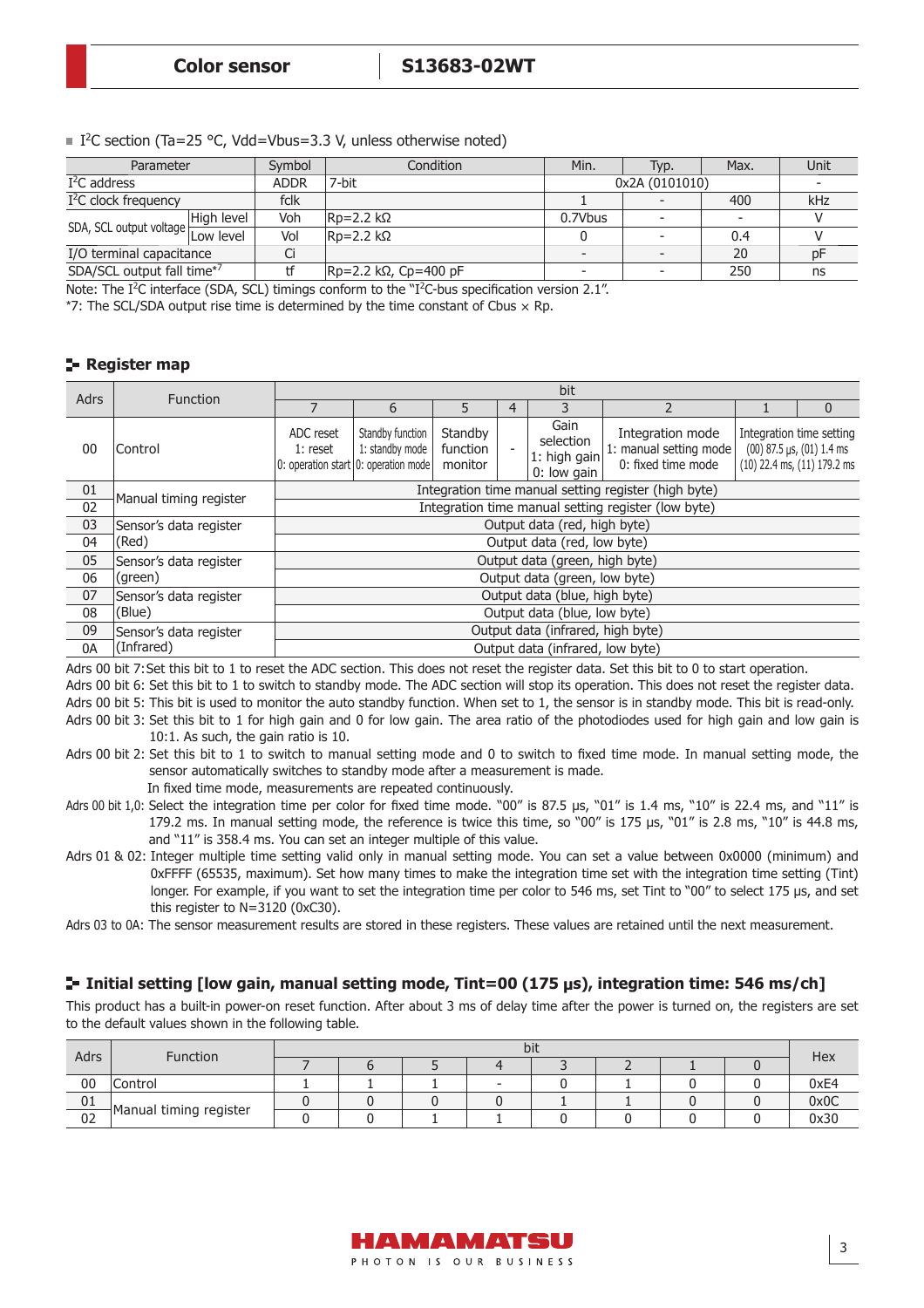|  | I <sup>2</sup> C section (Ta=25 °C, Vdd=Vbus=3.3 V, unless otherwise noted) |
|--|-----------------------------------------------------------------------------|
|--|-----------------------------------------------------------------------------|

| Parameter                  |            | Symbol      | Condition                        | Min.    | Typ.                     | Max. | Unit |
|----------------------------|------------|-------------|----------------------------------|---------|--------------------------|------|------|
| $I2C$ address              |            | <b>ADDR</b> | 7-bit                            |         | 0x2A (0101010)           |      |      |
| $I2C$ clock frequency      |            | fclk        |                                  |         |                          | 400  | kHz  |
|                            | High level | Voh         | $Rp=2.2$ kΩ                      | 0.7Vbus | $\overline{\phantom{a}}$ |      |      |
|                            |            | Vol         | $RP = 2.2 k\Omega$               |         |                          | 0.4  |      |
| I/O terminal capacitance   |            | u           |                                  |         |                          | 20   |      |
| SDA/SCL output fall time*7 |            |             | $ Rp=2.2 \; k\Omega$ , Cp=400 pF |         |                          | 250  | ns   |

Note: The  $I^2C$  interface (SDA, SCL) timings conform to the " $I^2C$ -bus specification version 2.1".

\*7: The SCL/SDA output rise time is determined by the time constant of Cbus  $\times$  Rp.

### **Register map**

| <b>Adrs</b>    | <b>Function</b>        |                                                                 |                                                      |                                |   | bit                                              |                                                                  |  |                                                                                              |  |  |  |
|----------------|------------------------|-----------------------------------------------------------------|------------------------------------------------------|--------------------------------|---|--------------------------------------------------|------------------------------------------------------------------|--|----------------------------------------------------------------------------------------------|--|--|--|
|                |                        |                                                                 | 6                                                    | 5                              | 4 | 3                                                |                                                                  |  | $\mathbf{0}$                                                                                 |  |  |  |
| 0 <sub>0</sub> | Control                | ADC reset<br>$1:$ reset<br>0: operation start 0: operation mode | Standby function<br>1: standby mode                  | Standby<br>function<br>monitor |   | Gain<br>selection<br>1: high gain<br>0: low gain | Integration mode<br>1: manual setting mode<br>0: fixed time mode |  | Integration time setting<br>$(00)$ 87.5 µs, $(01)$ 1.4 ms<br>$(10)$ 22.4 ms, $(11)$ 179.2 ms |  |  |  |
| 01             | Manual timing register |                                                                 | Integration time manual setting register (high byte) |                                |   |                                                  |                                                                  |  |                                                                                              |  |  |  |
| 02             |                        |                                                                 | Integration time manual setting register (low byte)  |                                |   |                                                  |                                                                  |  |                                                                                              |  |  |  |
| 03             | Sensor's data register |                                                                 |                                                      |                                |   | Output data (red, high byte)                     |                                                                  |  |                                                                                              |  |  |  |
| 04             | (Red)                  |                                                                 |                                                      |                                |   | Output data (red, low byte)                      |                                                                  |  |                                                                                              |  |  |  |
| 05             | Sensor's data register |                                                                 |                                                      |                                |   | Output data (green, high byte)                   |                                                                  |  |                                                                                              |  |  |  |
| 06             | (green)                |                                                                 |                                                      |                                |   | Output data (green, low byte)                    |                                                                  |  |                                                                                              |  |  |  |
| 07             | Sensor's data register |                                                                 |                                                      |                                |   | Output data (blue, high byte)                    |                                                                  |  |                                                                                              |  |  |  |
| 08             | (Blue)                 |                                                                 | Output data (blue, low byte)                         |                                |   |                                                  |                                                                  |  |                                                                                              |  |  |  |
| 09             | Sensor's data register |                                                                 |                                                      |                                |   | Output data (infrared, high byte)                |                                                                  |  |                                                                                              |  |  |  |
| 0A             | (Infrared)             |                                                                 |                                                      |                                |   | Output data (infrared, low byte)                 |                                                                  |  |                                                                                              |  |  |  |

Adrs 00 bit 7: Set this bit to 1 to reset the ADC section. This does not reset the register data. Set this bit to 0 to start operation.

Adrs 00 bit 6: Set this bit to 1 to switch to standby mode. The ADC section will stop its operation. This does not reset the register data.

Adrs 00 bit 5: This bit is used to monitor the auto standby function. When set to 1, the sensor is in standby mode. This bit is read-only. Adrs 00 bit 3: Set this bit to 1 for high gain and 0 for low gain. The area ratio of the photodiodes used for high gain and low gain is 10:1. As such, the gain ratio is 10.

Adrs 00 bit 2: Set this bit to 1 to switch to manual setting mode and 0 to switch to fixed time mode. In manual setting mode, the sensor automatically switches to standby mode after a measurement is made.

In fixed time mode, measurements are repeated continuously.

- Adrs 00 bit 1,0: Select the integration time per color for fixed time mode. "00" is 87.5 µs, "01" is 1.4 ms, "10" is 22.4 ms, and "11" is 179.2 ms. In manual setting mode, the reference is twice this time, so "00" is 175 μs, "01" is 2.8 ms, "10" is 44.8 ms, and "11" is 358.4 ms. You can set an integer multiple of this value.
- Adrs 01 & 02: Integer multiple time setting valid only in manual setting mode. You can set a value between 0x0000 (minimum) and 0xFFFF (65535, maximum). Set how many times to make the integration time set with the integration time setting (Tint) longer. For example, if you want to set the integration time per color to 546 ms, set Tint to "00" to select 175 μs, and set this register to N=3120 (0xC30).

Adrs 03 to 0A: The sensor measurement results are stored in these registers. These values are retained until the next measurement.

## **Initial setting [low gain, manual setting mode, Tint=00 (175 μs), integration time: 546 ms/ch]**

This product has a built-in power-on reset function. After about 3 ms of delay time after the power is turned on, the registers are set to the default values shown in the following table.

|    | Adrs<br>Function       |  |  | bit |  | Hex  |
|----|------------------------|--|--|-----|--|------|
|    |                        |  |  |     |  |      |
| 00 | Control                |  |  |     |  | 0xE4 |
| 01 |                        |  |  |     |  | 0x0C |
| 02 | Manual timing register |  |  |     |  | 0x30 |

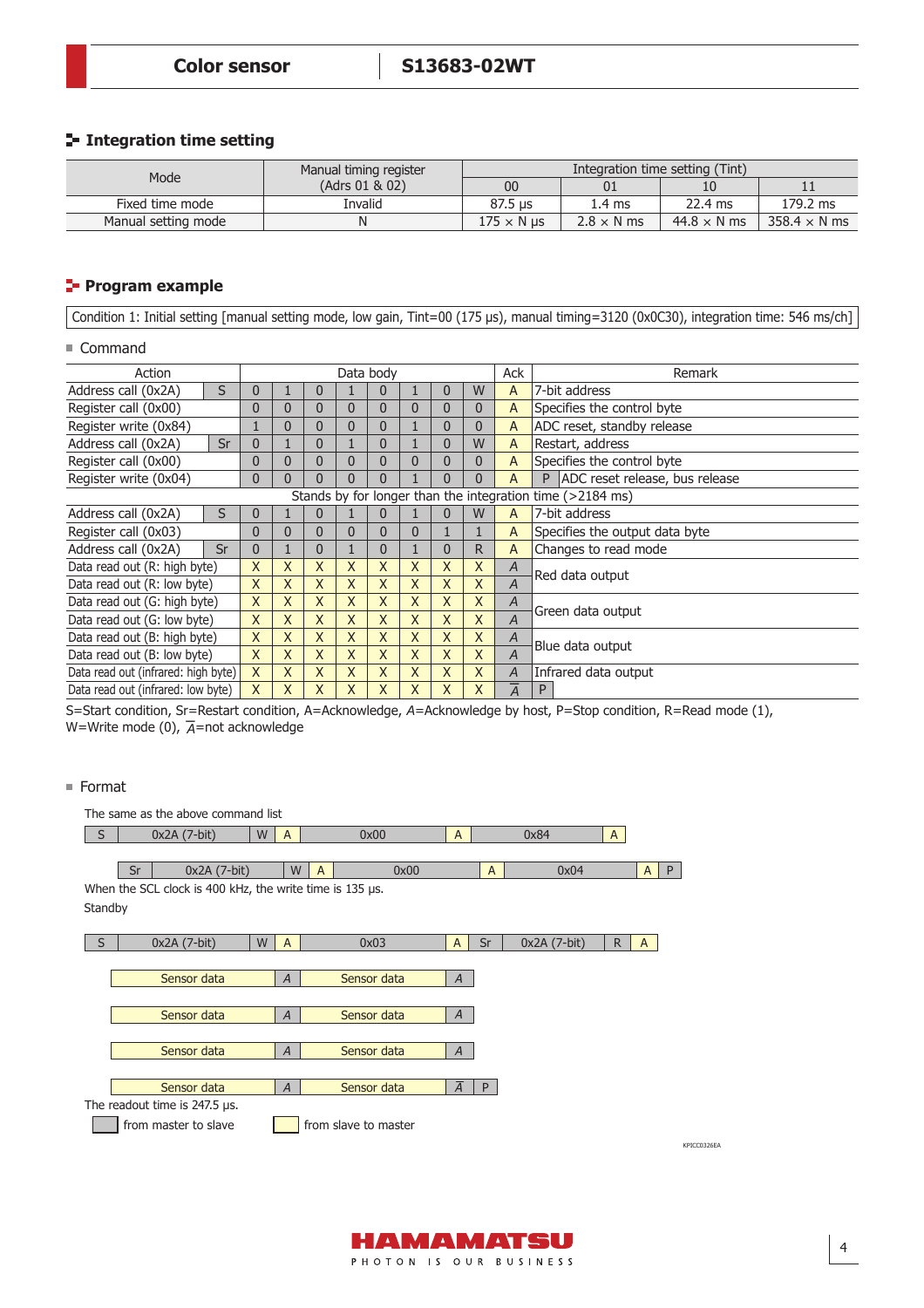## **Integration time setting**

| Mode                | Manual timing register | Integration time setting (Tint) |                   |                    |                     |  |  |  |  |  |
|---------------------|------------------------|---------------------------------|-------------------|--------------------|---------------------|--|--|--|--|--|
|                     | (Adrs 01 & 02)         | 00                              |                   |                    | . .                 |  |  |  |  |  |
| Fixed time mode     | Invalid                | 87.5 us                         | 1.4 ms            | 22.4 ms            | 179.2 ms            |  |  |  |  |  |
| Manual setting mode |                        | $175 \times N$ us               | $2.8 \times N$ ms | $44.8 \times N$ ms | $358.4 \times N$ ms |  |  |  |  |  |

## **Program example**

Condition 1: Initial setting [manual setting mode, low gain, Tint=00 (175 μs), manual timing=3120 (0x0C30), integration time: 546 ms/ch]

### ■ Command

| Action                              |    |                |    |   |                | Data body |   |    |   | Ack            | Remark                                                    |
|-------------------------------------|----|----------------|----|---|----------------|-----------|---|----|---|----------------|-----------------------------------------------------------|
| Address call (0x2A)                 | S  | 0              |    | Ü |                | 0         |   | 0  | W | $\overline{A}$ | 7-bit address                                             |
| Register call (0x00)                |    | 0              | 0  | 0 | 0              | 0         | 0 | 0  | 0 | A              | Specifies the control byte                                |
| Register write (0x84)               |    | 1              | 0  | 0 | 0              | 0         |   | 0  | 0 | A              | ADC reset, standby release                                |
| Address call (0x2A)                 | Sr | 0              |    | 0 |                | 0         |   | 0  | W | A              | Restart, address                                          |
| Register call (0x00)                |    | 0              | 0  | 0 | $\overline{0}$ | 0         | 0 | 0  | 0 | $\overline{A}$ | Specifies the control byte                                |
| Register write (0x04)               |    | $\overline{0}$ | 0  | 0 | 0              | 0         |   | 0  | 0 | A              | ADC reset release, bus release<br>P                       |
|                                     |    |                |    |   |                |           |   |    |   |                | Stands by for longer than the integration time (>2184 ms) |
| Address call (0x2A)                 | S  | 0              |    | 0 |                | 0         |   | 0  | W | A              | 7-bit address                                             |
| Register call (0x03)                |    | 0              | 0  | 0 | 0              | 0         | 0 |    |   | A              | Specifies the output data byte                            |
| Address call (0x2A)                 | Sr | 0              |    | 0 |                | 0         |   | 0  | R | A              | Changes to read mode                                      |
| Data read out (R: high byte)        |    | X              | X  | X | X              | X.        | X | X  | X | A              |                                                           |
| Data read out (R: low byte)         |    | X              | X  | X | X              | X.        | X | X  | X | $\overline{A}$ | Red data output                                           |
| Data read out (G: high byte)        |    | X              | X  | X | X              | X.        | X | X  | X | A              | Green data output                                         |
| Data read out (G: low byte)         |    | X              | X. | X | X              | X.        | X | X. | X | $\overline{A}$ |                                                           |
| Data read out (B: high byte)        |    | X              | X  | X | X              | X.        | X | X  | X | A              |                                                           |
| Data read out (B: low byte)         |    | X              | X  | X | X              | X.        | X | X  | X | $\overline{A}$ | Blue data output                                          |
| Data read out (infrared: high byte) |    | X              | X  | X | X              | X.        | X | X  | X | A              | Infrared data output                                      |
| Data read out (infrared: low byte)  |    | $\mathsf{X}$   | X  | X | X              | X         | X | X  | X | $\overline{A}$ |                                                           |

S=Start condition, Sr=Restart condition, A=Acknowledge, *A*=Acknowledge by host, P=Stop condition, R=Read mode (1), W=Write mode (0), - W=Write mode (0),  $\overline{A}$ =not acknowledge

### ■ Format

|         | The same as the above command list                       |   |                |                |                      |                |                |               |              |              |             |
|---------|----------------------------------------------------------|---|----------------|----------------|----------------------|----------------|----------------|---------------|--------------|--------------|-------------|
| S       | $0x2A(7-bit)$                                            | W | $\overline{A}$ |                | 0x00                 | $\overline{A}$ |                | 0x84          | $\mathsf{A}$ |              |             |
|         |                                                          |   |                |                |                      |                |                |               |              |              |             |
|         | $0x2A(7-bit)$<br>Sr                                      |   | W              | $\overline{A}$ | 0x00                 |                | $\overline{A}$ | 0x04          |              | A            | P           |
|         | When the SCL clock is 400 kHz, the write time is 135 µs. |   |                |                |                      |                |                |               |              |              |             |
| Standby |                                                          |   |                |                |                      |                |                |               |              |              |             |
|         |                                                          |   |                |                |                      |                |                |               |              |              |             |
| S       | 0x2A (7-bit)                                             | W | $\overline{A}$ |                | 0x03                 | $\mathsf{A}$   | Sr             | $0x2A(7-bit)$ | $\mathsf{R}$ | $\mathsf{A}$ |             |
|         |                                                          |   |                |                |                      |                |                |               |              |              |             |
|         | Sensor data                                              |   | $\overline{A}$ |                | Sensor data          | $\overline{A}$ |                |               |              |              |             |
|         |                                                          |   |                |                |                      |                |                |               |              |              |             |
|         | Sensor data                                              |   | $\overline{A}$ |                | Sensor data          | $\overline{A}$ |                |               |              |              |             |
|         |                                                          |   |                |                |                      |                |                |               |              |              |             |
|         | Sensor data                                              |   | $\overline{A}$ |                | Sensor data          | $\overline{A}$ |                |               |              |              |             |
|         |                                                          |   |                |                |                      |                |                |               |              |              |             |
|         | Sensor data                                              |   | $\overline{A}$ |                | Sensor data          | $\overline{A}$ | P              |               |              |              |             |
|         | The readout time is $247.5$ $\mu$ s.                     |   |                |                |                      |                |                |               |              |              |             |
|         | from master to slave                                     |   |                |                | from slave to master |                |                |               |              |              |             |
|         |                                                          |   |                |                |                      |                |                |               |              |              | KPICC0326EA |

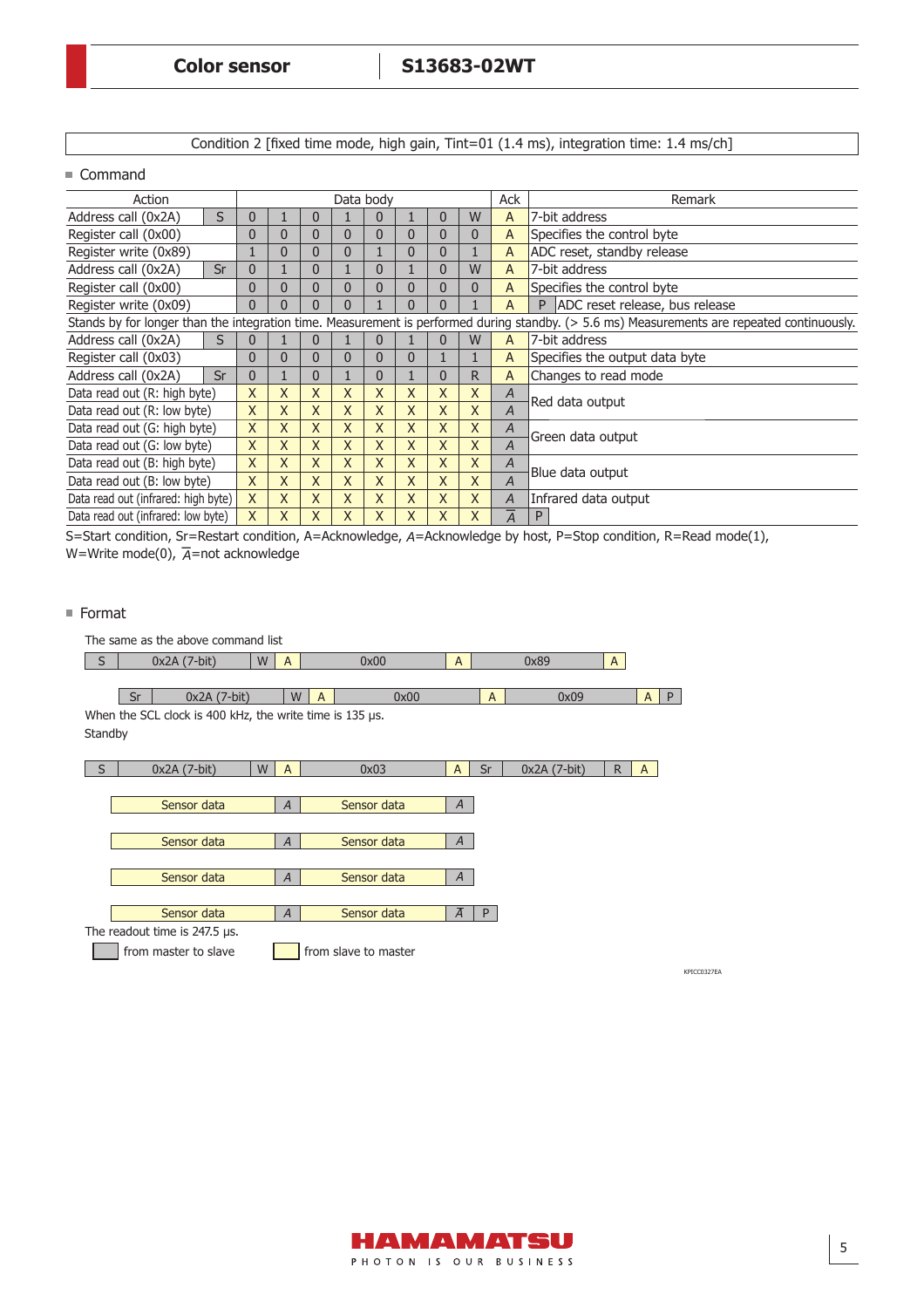Condition 2 [fixed time mode, high gain, Tint=01 (1.4 ms), integration time: 1.4 ms/ch]

■ Command

| Action                              |    |                |                |                |                | Data body      |              |                |              | Ack            | Remark                                                                                                                                      |
|-------------------------------------|----|----------------|----------------|----------------|----------------|----------------|--------------|----------------|--------------|----------------|---------------------------------------------------------------------------------------------------------------------------------------------|
| Address call (0x2A)                 | S  | 0              |                | 0              |                | 0              |              | $\Omega$       | W            | A              | 7-bit address                                                                                                                               |
| Register call (0x00)                |    | $\Omega$       | 0              | $\Omega$       | $\overline{0}$ | 0              | 0            | $\Omega$       | 0            | A              | Specifies the control byte                                                                                                                  |
| Register write (0x89)               |    |                | $\overline{0}$ | $\overline{0}$ | $\overline{0}$ |                | $\mathbf{0}$ | 0              |              | A              | ADC reset, standby release                                                                                                                  |
| Address call (0x2A)                 | Sr | $\overline{0}$ |                | 0              |                | 0              |              | $\overline{0}$ | W            | A              | 7-bit address                                                                                                                               |
| Register call (0x00)                |    | $\mathbf{0}$   | $\mathbf{0}$   | $\mathbf{0}$   | $\mathbf{0}$   | $\mathbf{0}$   | $\mathbf{0}$ | $\mathbf{0}$   | $\mathbf{0}$ | A              | Specifies the control byte                                                                                                                  |
| Register write (0x09)               |    | $\mathbf{0}$   | 0              | 0              | $\overline{0}$ |                | 0            | 0              |              | A              | ADC reset release, bus release<br>P                                                                                                         |
|                                     |    |                |                |                |                |                |              |                |              |                | Stands by for longer than the integration time. Measurement is performed during standby. (> 5.6 ms) Measurements are repeated continuously. |
| Address call (0x2A)                 | S  |                |                | 0              |                | 0              |              | $\Omega$       | W            | A              | 7-bit address                                                                                                                               |
| Register call (0x03)                |    | 0              | $\overline{0}$ | 0              | $\overline{0}$ | 0              | 0            |                |              | A              | Specifies the output data byte                                                                                                              |
| Address call (0x2A)                 | Sr | $\mathbf{0}$   |                | 0              |                | $\overline{0}$ |              | $\overline{0}$ | R            | A              | Changes to read mode                                                                                                                        |
| Data read out (R: high byte)        |    | X              | X              | X              | X              | X              | X            | X              | X            | A              | Red data output                                                                                                                             |
| Data read out (R: low byte)         |    | $\mathsf{X}$   | X              | $\mathsf{X}$   | $\mathsf{X}$   | X              | $\mathsf{X}$ | $\mathsf{X}$   | X            | $\overline{A}$ |                                                                                                                                             |
| Data read out (G: high byte)        |    | $\mathsf{X}$   | X              | X              | X              | X              | X            | X              | X            | Α              | Green data output                                                                                                                           |
| Data read out (G: low byte)         |    | $\mathsf{X}$   | X              | $\mathsf{X}$   | $\mathsf{X}$   | X              | $\mathsf{X}$ | $\mathsf{X}$   | X            | $\overline{A}$ |                                                                                                                                             |
| Data read out (B: high byte)        |    | $\mathsf{X}$   | X              | $\mathsf{X}$   | $\mathsf{X}$   | X              | $\mathsf{X}$ | $\mathsf{X}$   | $\mathsf{X}$ | A              | Blue data output                                                                                                                            |
| Data read out (B: low byte)         |    | X              | X              | X              | $\mathsf{X}$   | $\mathsf{X}$   | $\mathsf{X}$ | $\mathsf{X}$   | X            | $\overline{A}$ |                                                                                                                                             |
| Data read out (infrared: high byte) |    | $\mathsf{X}$   | X              | X              | X              | X              | X            | X              | X            | A              | Infrared data output                                                                                                                        |
| Data read out (infrared: low byte)  |    | X              | $\sf X$        | X              | X              | X              | X            | X              | X            | $\overline{A}$ | P                                                                                                                                           |

S=Start condition, Sr=Restart condition, A=Acknowledge, *A*=Acknowledge by host, P=Stop condition, R=Read mode(1), W=Write mode(0), - W=Write mode(0),  $\overline{A}$ =not acknowledge

#### ■ Format

|         | The same as the above command list                       |   |                |                |                      |                |              |              |              |              |             |
|---------|----------------------------------------------------------|---|----------------|----------------|----------------------|----------------|--------------|--------------|--------------|--------------|-------------|
| l S     | $0x2A(7-bit)$                                            | W | $\mathsf{A}$   |                | 0x00                 | A              |              | 0x89         | $\mathsf{A}$ |              |             |
|         |                                                          |   |                |                |                      |                |              |              |              |              |             |
|         | 0x2A (7-bit)<br>Sr                                       |   | W              | $\overline{A}$ | 0x00                 |                | $\mathsf{A}$ | 0x09         |              | $A \mid$     | P           |
|         | When the SCL clock is 400 kHz, the write time is 135 µs. |   |                |                |                      |                |              |              |              |              |             |
| Standby |                                                          |   |                |                |                      |                |              |              |              |              |             |
|         |                                                          |   |                |                |                      |                |              |              |              |              |             |
| S       | 0x2A (7-bit)                                             | W | A              |                | 0x03                 | $\mathsf{A}$   | Sr           | 0x2A (7-bit) | $\mathsf{R}$ | $\mathsf{A}$ |             |
|         |                                                          |   |                |                |                      |                |              |              |              |              |             |
|         | Sensor data                                              |   | $\overline{A}$ |                | Sensor data          | $\overline{A}$ |              |              |              |              |             |
|         |                                                          |   |                |                |                      |                |              |              |              |              |             |
|         | Sensor data                                              |   | $\overline{A}$ |                | Sensor data          | $\overline{A}$ |              |              |              |              |             |
|         |                                                          |   |                |                |                      |                |              |              |              |              |             |
|         | Sensor data                                              |   | $\overline{A}$ |                | Sensor data          | $\overline{A}$ |              |              |              |              |             |
|         |                                                          |   |                |                |                      |                |              |              |              |              |             |
|         | Sensor data                                              |   | $\overline{A}$ |                | Sensor data          | $\overline{A}$ | P            |              |              |              |             |
|         | The readout time is $247.5$ µs.                          |   |                |                |                      |                |              |              |              |              |             |
|         | from master to slave                                     |   |                |                | from slave to master |                |              |              |              |              |             |
|         |                                                          |   |                |                |                      |                |              |              |              |              | KPICC0327EA |

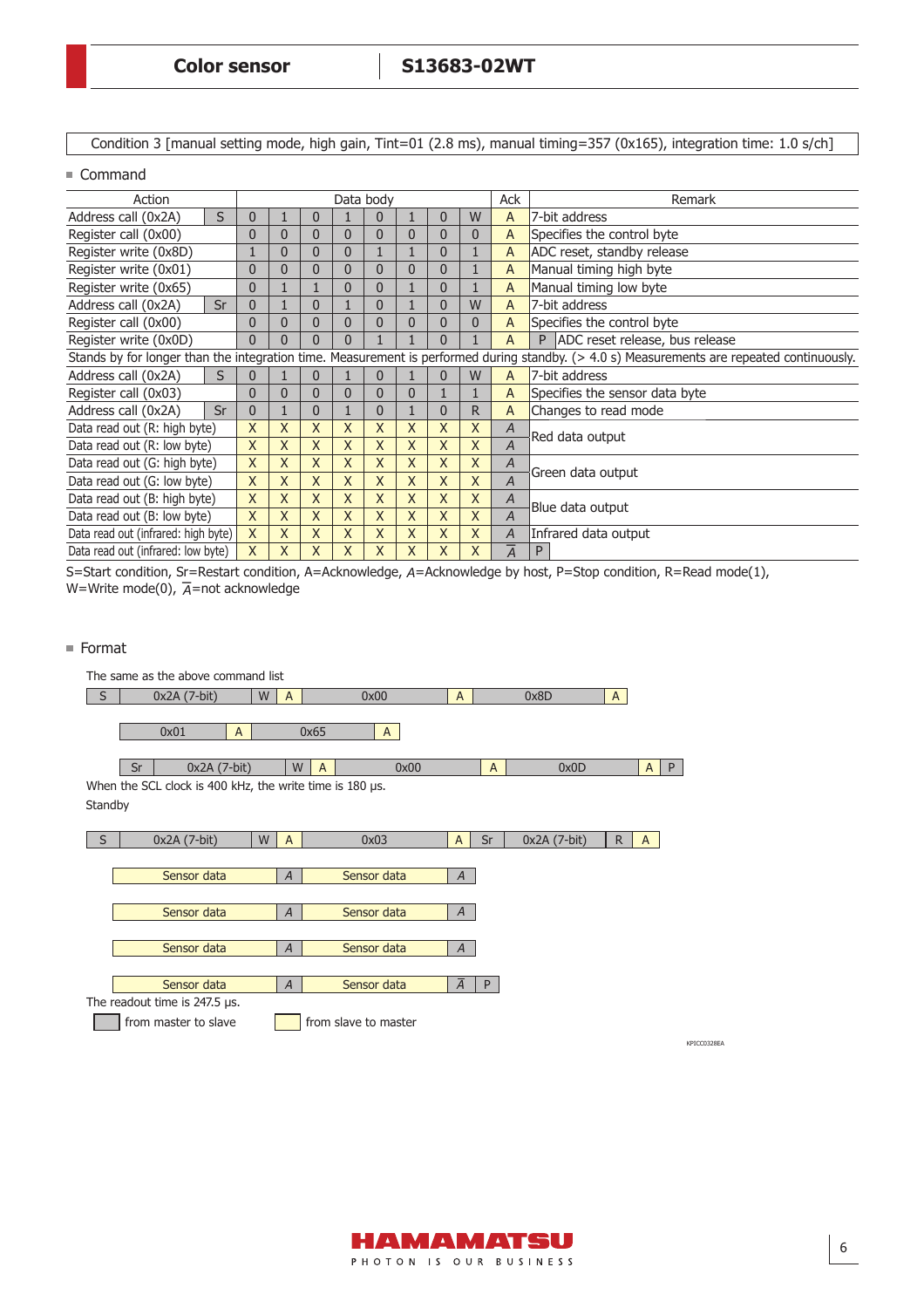Condition 3 [manual setting mode, high gain, Tint=01 (2.8 ms), manual timing=357 (0x165), integration time: 1.0 s/ch]

#### ■ Command

| Action                                                                                                                                       | Data body      |                |                |                |                |                |                |              | <b>Ack</b>     | Remark                         |                            |  |  |
|----------------------------------------------------------------------------------------------------------------------------------------------|----------------|----------------|----------------|----------------|----------------|----------------|----------------|--------------|----------------|--------------------------------|----------------------------|--|--|
| Address call (0x2A)                                                                                                                          | S              | 0              |                | $\overline{0}$ |                | 0              |                | 0            | W              | A                              | 7-bit address              |  |  |
| Register call (0x00)                                                                                                                         |                | 0              | $\mathbf{0}$   | 0              | $\mathbf{0}$   | $\overline{0}$ | $\mathbf{0}$   | 0            | 0              | A                              | Specifies the control byte |  |  |
| Register write (0x8D)                                                                                                                        |                | $\overline{0}$ | $\mathbf{0}$   | $\mathbf 0$    |                |                | 0              |              | A              | ADC reset, standby release     |                            |  |  |
| Register write (0x01)                                                                                                                        | 0              | $\mathbf{0}$   | $\mathbf{0}$   | $\mathbf 0$    | $\mathbf 0$    | $\overline{0}$ | 0              |              | A              | Manual timing high byte        |                            |  |  |
| Register write (0x65)                                                                                                                        | $\overline{0}$ |                |                | $\overline{0}$ | $\mathbf{0}$   |                | $\overline{0}$ |              | $\mathsf{A}$   | Manual timing low byte         |                            |  |  |
| Address call (0x2A)                                                                                                                          | $\overline{0}$ |                | $\overline{0}$ |                | $\overline{0}$ |                | 0              | W            | A              | 7-bit address                  |                            |  |  |
| Register call (0x00)                                                                                                                         | $\mathbf{0}$   | $\overline{0}$ | $\mathbf{0}$   | $\mathbf{0}$   | $\overline{0}$ | $\mathbf{0}$   | 0              | $\mathbf{0}$ | A              | Specifies the control byte     |                            |  |  |
| Register write (0x0D)                                                                                                                        | $\Omega$       | 0              | $\mathbf{0}$   | $\mathbf{0}$   |                |                | 0              |              | A              | ADC reset release, bus release |                            |  |  |
| Stands by for longer than the integration time. Measurement is performed during standby. $(> 4.0 s)$ Measurements are repeated continuously. |                |                |                |                |                |                |                |              |                |                                |                            |  |  |
| Address call (0x2A)<br>S                                                                                                                     |                | 0              |                | $\overline{0}$ |                | $\overline{0}$ |                | 0            | W              | A                              | 7-bit address              |  |  |
| Register call (0x03)                                                                                                                         | 0              | $\mathbf{0}$   | $\overline{0}$ | $\mathbf{0}$   | 0              | $\mathbf{0}$   |                |              | A              | Specifies the sensor data byte |                            |  |  |
| Address call (0x2A)                                                                                                                          | Sr             | $\overline{0}$ |                | $\mathbf{0}$   |                | $\overline{0}$ |                | 0            | R              | A                              | Changes to read mode       |  |  |
| Data read out (R: high byte)                                                                                                                 | $\mathsf{X}$   | $\mathsf{X}$   | $\mathsf{X}$   | X              | X              | X              | X              | X            | $\overline{A}$ | Red data output                |                            |  |  |
| Data read out (R: low byte)                                                                                                                  | $\mathsf{X}$   | $\mathsf{X}$   | $\mathsf{X}$   | X              | X              | X              | X              | X            | $\overline{A}$ |                                |                            |  |  |
| Data read out (G: high byte)                                                                                                                 | $\sf X$        | $\mathsf{X}$   | X              | $\mathsf{X}$   | X              | $\sf X$        | X              | X            | A              | Green data output              |                            |  |  |
| Data read out (G: low byte)                                                                                                                  | $\mathsf{X}$   | $\mathsf{X}$   | $\mathsf{X}$   | $\mathsf{X}$   | X              | X              | X              | X            | A              |                                |                            |  |  |
| Data read out (B: high byte)                                                                                                                 | $\mathsf{X}$   | X              | X              | X              | X              | X              | X              | X            | $\overline{A}$ | Blue data output               |                            |  |  |
| Data read out (B: low byte)                                                                                                                  |                | $\mathsf{X}$   | $\mathsf{X}$   | $\mathsf{X}$   | X              | X              | X              | X            | X              | $\overline{A}$                 |                            |  |  |
| Data read out (infrared: high byte)                                                                                                          |                | X              | X              | X              | X              | X              | X              | X            | X              | Α                              | Infrared data output       |  |  |
| Data read out (infrared: low byte)                                                                                                           |                | $\mathsf{X}$   | $\mathsf{X}$   | X              | X              | X              | X              | X            | X              | $\overline{A}$                 | P                          |  |  |

S=Start condition, Sr=Restart condition, A=Acknowledge, *A*=Acknowledge by host, P=Stop condition, R=Read mode(1), W=Write mode(0), - W=Write mode(0),  $\overline{A}$ =not acknowledge

### ■ Format

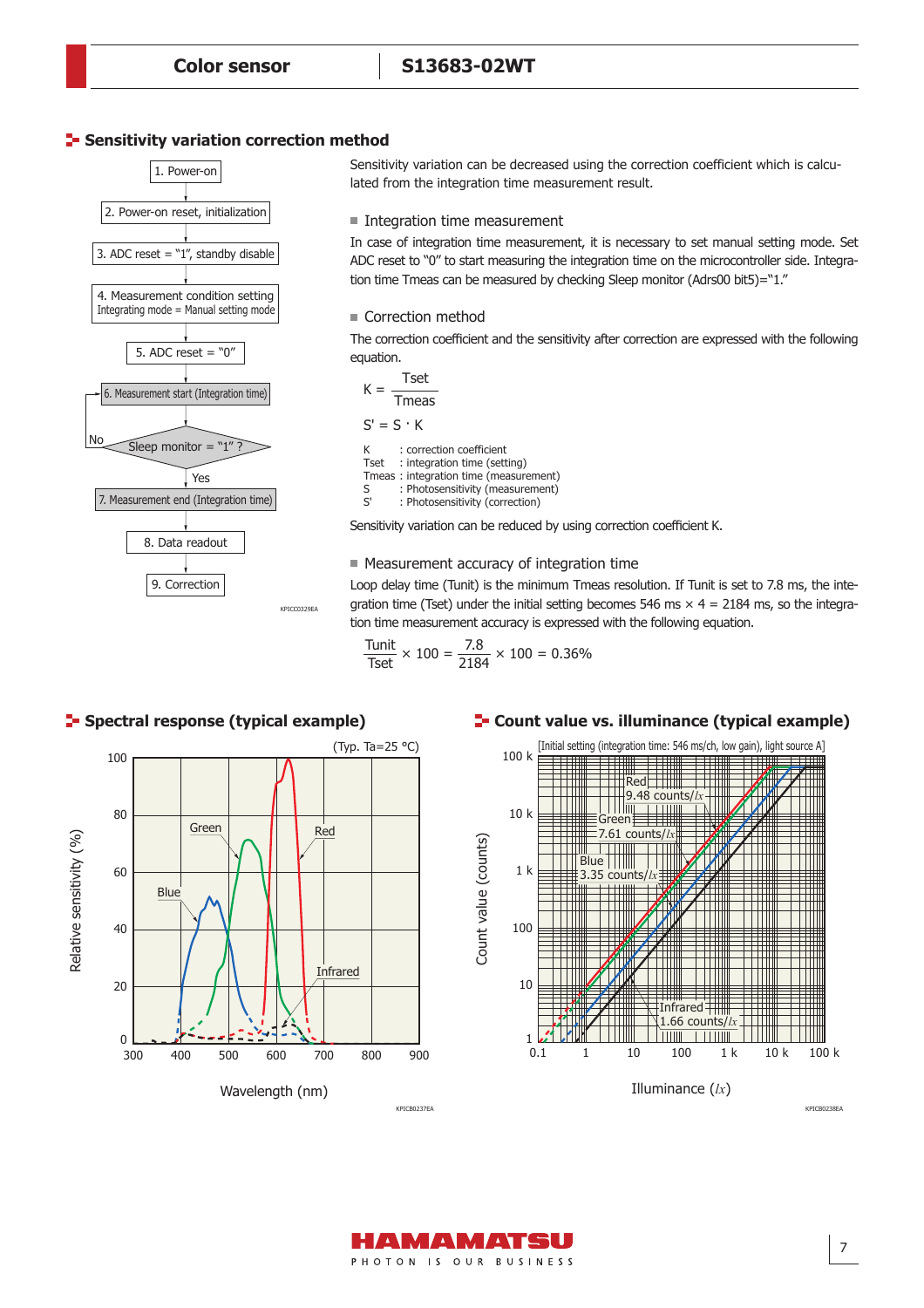### **Sensitivity variation correction method**



Sensitivity variation can be decreased using the correction coefficient which is calculated from the integration time measurement result.

#### Integration time measurement

In case of integration time measurement, it is necessary to set manual setting mode. Set ADC reset to "0" to start measuring the integration time on the microcontroller side. Integration time Tmeas can be measured by checking Sleep monitor (Adrs00 bit5)="1."

#### ■ Correction method

The correction coefficient and the sensitivity after correction are expressed with the following equation.

Tset Tmeas  $S' = S \cdot K$ K : correction coefficient Tset : integration time (setting) Tmeas : integration time (measurement)<br>S : Photosensitivity (measurement) S : Photosensitivity (measurement)<br>S' : Photosensitivity (correction) : Photosensitivity (correction)  $K =$ 

Sensitivity variation can be reduced by using correction coefficient K.

#### Measurement accuracy of integration time

Loop delay time (Tunit) is the minimum Tmeas resolution. If Tunit is set to 7.8 ms, the integration time (Tset) under the initial setting becomes 546 ms  $\times$  4 = 2184 ms, so the integration time measurement accuracy is expressed with the following equation.

$$
\frac{\text{Tunit}}{\text{Test}} \times 100 = \frac{7.8}{2184} \times 100 = 0.36\%
$$

#### **E-** Count value vs. illuminance (typical example)





KPICB0238EA



**F** Spectral response (typical example)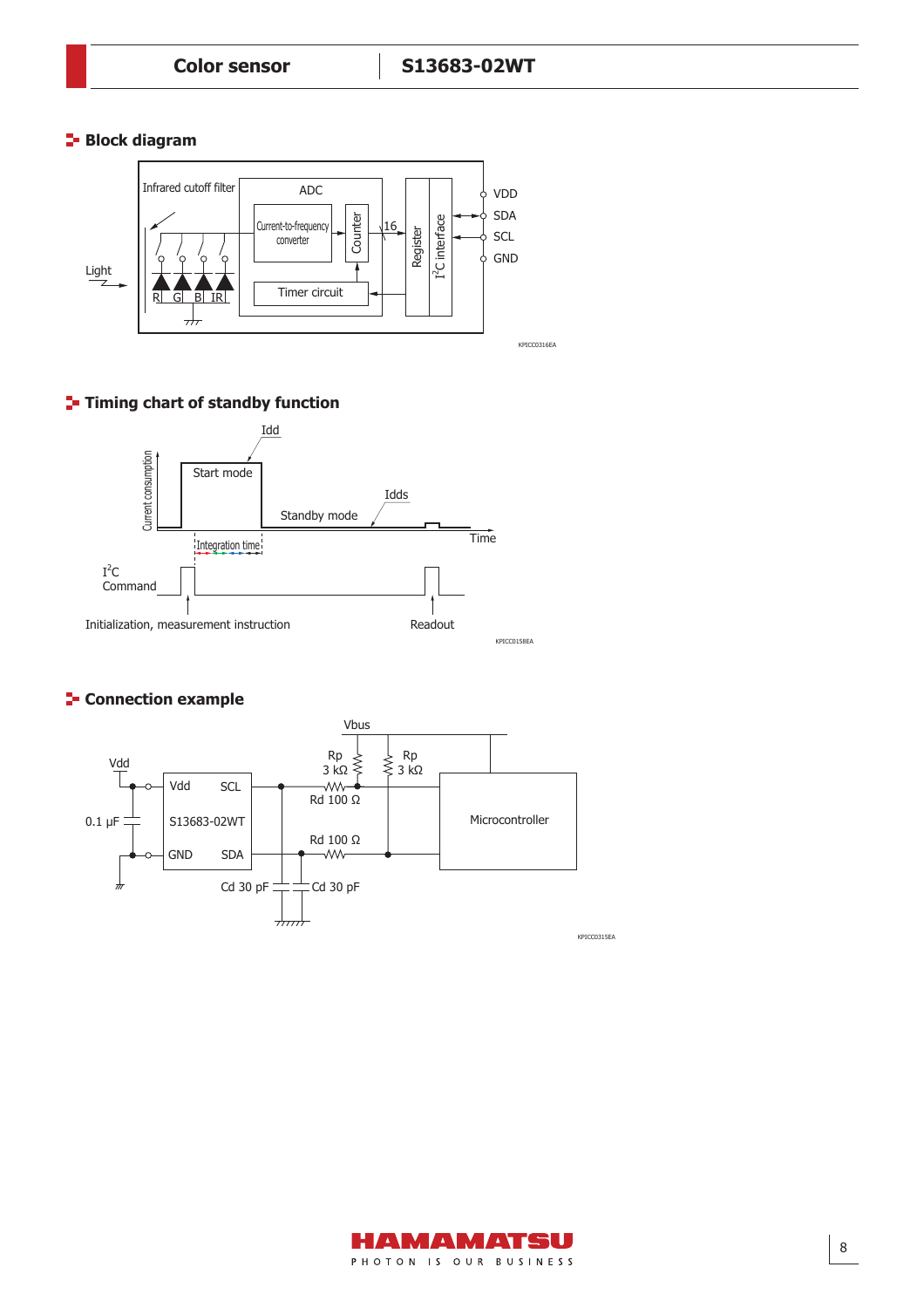## **Block diagram**



# **T**- Timing chart of standby function



## **F** Connection example



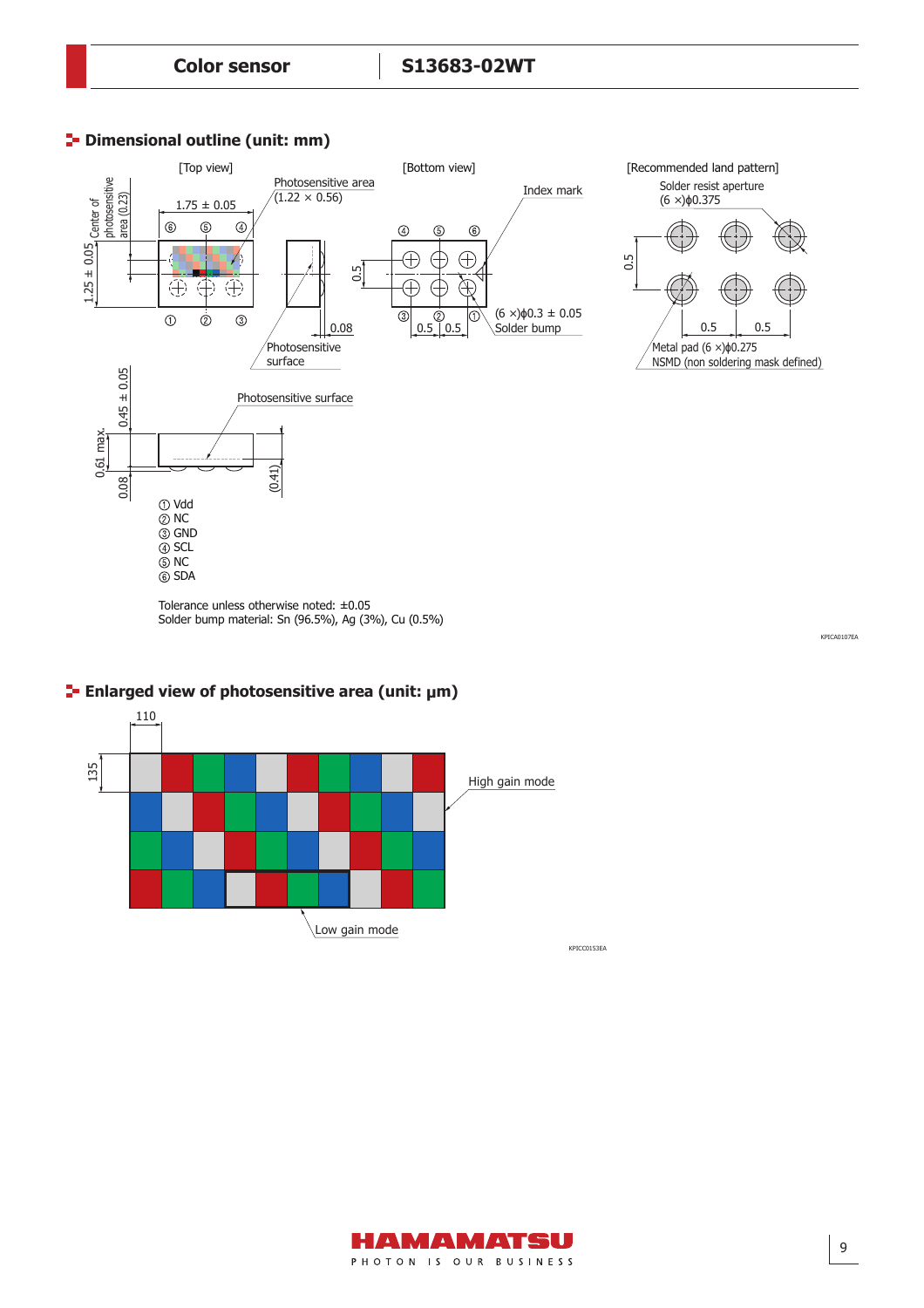# **P** Dimensional outline (unit: mm)



Tolerance unless otherwise noted: ±0.05 Solder bump material: Sn (96.5%), Ag (3%), Cu (0.5%)

KPICA0107EA



# **Enlarged view of photosensitive area (unit: μm)**

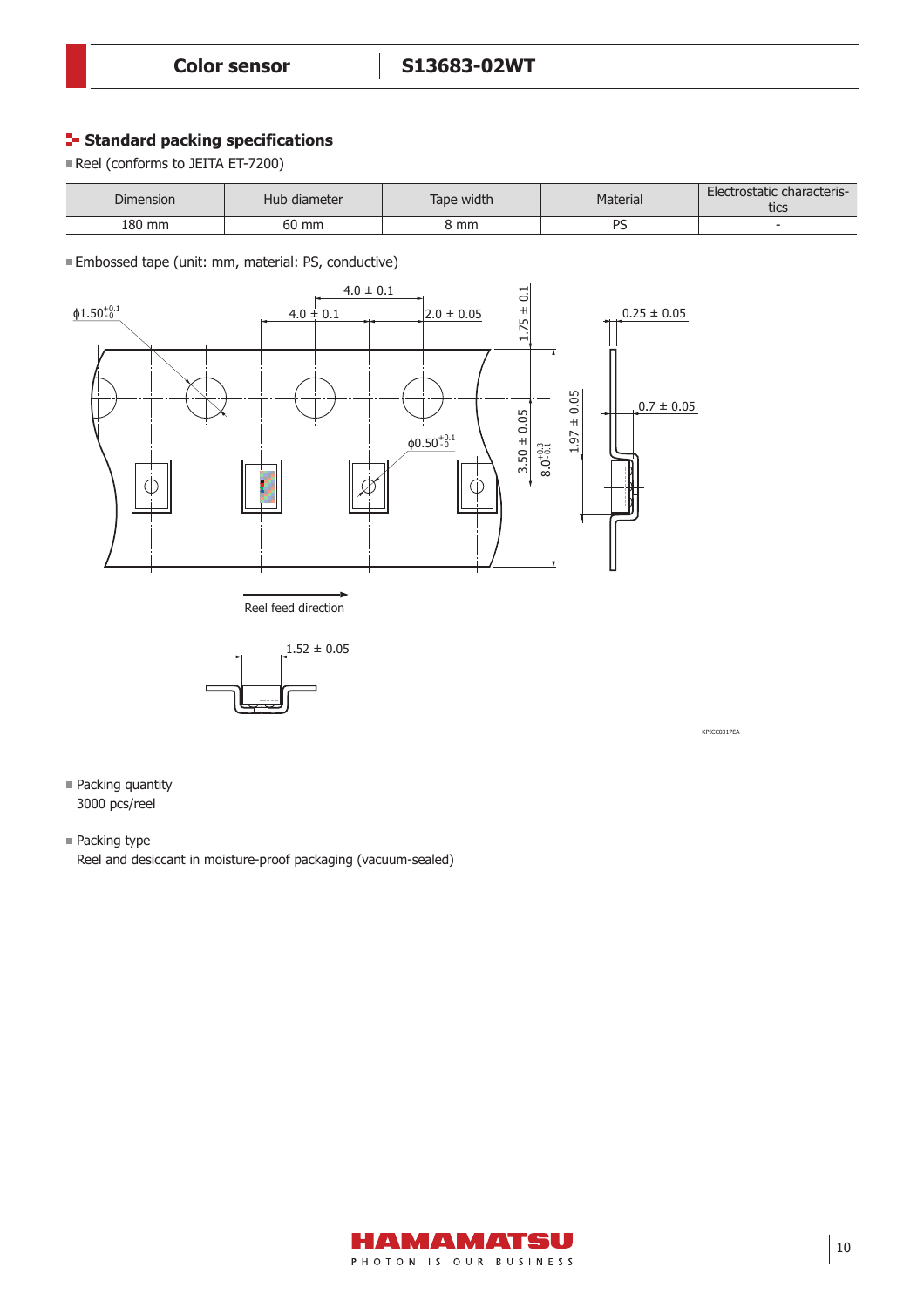# **Standard packing specifications**

Reel (conforms to JEITA ET-7200)

| Dimension | Hub diameter | Tape width | Material | Electrostatic characteris-<br>tics |
|-----------|--------------|------------|----------|------------------------------------|
| 180 mm    | 60 mm        | კ mm       | DС<br>-  | -                                  |

Embossed tape (unit: mm, material: PS, conductive)





KPICC0317EA

- Packing quantity 3000 pcs/reel
- Packing type

Reel and desiccant in moisture-proof packaging (vacuum-sealed)

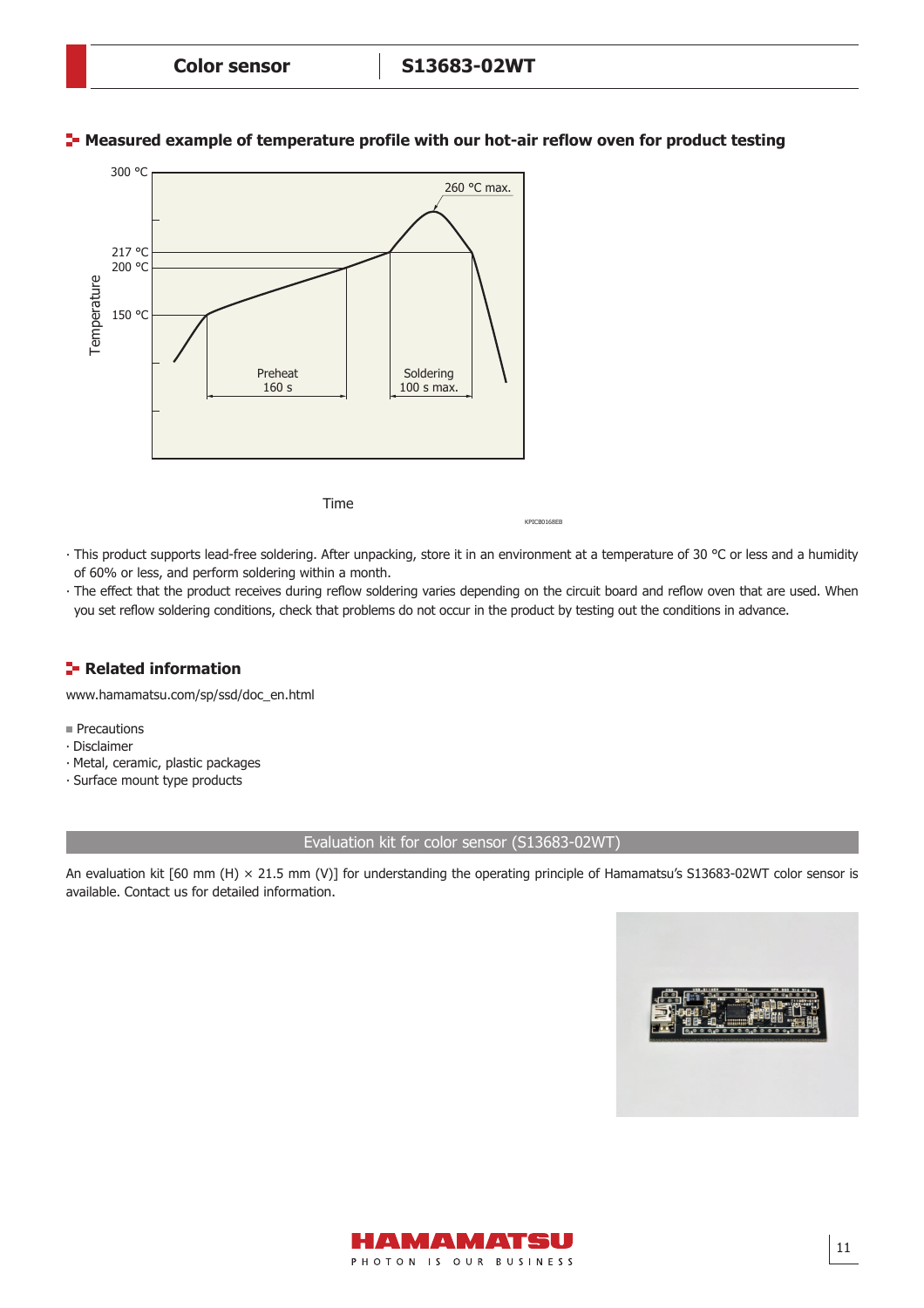

### **T** Measured example of temperature profile with our hot-air reflow oven for product testing

Time

KPICB0168EB

- ∙ This product supports lead-free soldering. After unpacking, store it in an environment at a temperature of 30 °C or less and a humidity of 60% or less, and perform soldering within a month.
- The effect that the product receives during reflow soldering varies depending on the circuit board and reflow oven that are used. When you set reflow soldering conditions, check that problems do not occur in the product by testing out the conditions in advance.

# **Related information**

[www.hamamatsu.com/sp/ssd/doc\\_en.html](http://www.hamamatsu.com/sp/ssd/doc_en.html)

- **Precautions**
- ∙ Disclaimer
- ∙ Metal, ceramic, plastic packages
- ∙ Surface mount type products

### Evaluation kit for color sensor (S13683-02WT)

An evaluation kit [60 mm (H)  $\times$  21.5 mm (V)] for understanding the operating principle of Hamamatsu's S13683-02WT color sensor is available. Contact us for detailed information.